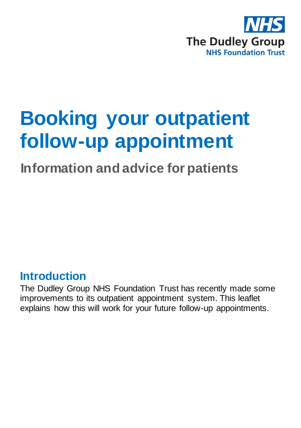

# **Booking your outpatient follow-up appointment**

## **Information and advice for patients**

#### **Introduction**

The Dudley Group NHS Foundation Trust has recently made some improvements to its outpatient appointment system. This leaflet explains how this will work for your future follow-up appointments.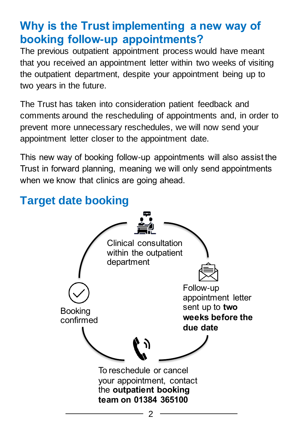#### **Why is the Trust implementing a new way of booking follow-up appointments?**

The previous outpatient appointment process would have meant that you received an appointment letter within two weeks of visiting the outpatient department, despite your appointment being up to two years in the future.

The Trust has taken into consideration patient feedback and comments around the rescheduling of appointments and, in order to prevent more unnecessary reschedules, we will now send your appointment letter closer to the appointment date.

This new way of booking follow-up appointments will also assist the Trust in forward planning, meaning we will only send appointments when we know that clinics are going ahead.

### **Target date booking**

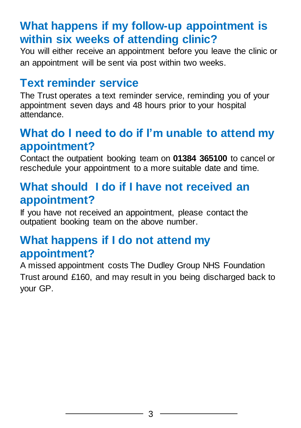#### **What happens if my follow-up appointment is within six weeks of attending clinic?**

You will either receive an appointment before you leave the clinic or an appointment will be sent via post within two weeks.

#### **Text reminder service**

The Trust operates a text reminder service, reminding you of your appointment seven days and 48 hours prior to your hospital attendance.

#### **What do I need to do if I'm unable to attend my appointment?**

Contact the outpatient booking team on **01384 365100** to cancel or reschedule your appointment to a more suitable date and time.

#### **What should I do if I have not received an appointment?**

If you have not received an appointment, please contact the outpatient booking team on the above number.

#### **What happens if I do not attend my appointment?**

A missed appointment costs The Dudley Group NHS Foundation Trust around £160, and may result in you being discharged back to your GP.